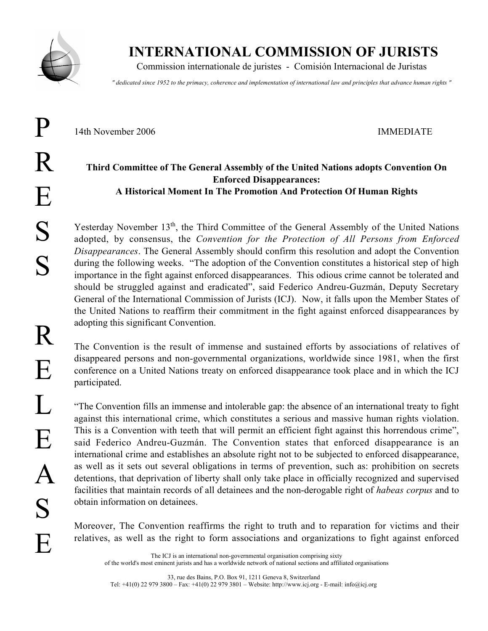

P

## INTERNATIONAL COMMISSION OF JURISTS

Commission internationale de juristes - Comisión Internacional de Juristas

*" dedicated since 1952 to the primacy, coherence and implementation of international law and principles that advance human rights "*

14th November 2006 IMMEDIATE

## Third Committee of The General Assembly of the United Nations adopts Convention On Enforced Disappearances: A Historical Moment In The Promotion And Protection Of Human Rights

Yesterday November 13<sup>th</sup>, the Third Committee of the General Assembly of the United Nations adopted, by consensus, the *Convention for the Protection of All Persons from Enforced Disappearances*. The General Assembly should confirm this resolution and adopt the Convention during the following weeks. "The adoption of the Convention constitutes a historical step of high importance in the fight against enforced disappearances. This odious crime cannot be tolerated and should be struggled against and eradicated", said Federico Andreu-Guzmán, Deputy Secretary General of the International Commission of Jurists (ICJ). Now, it falls upon the Member States of the United Nations to reaffirm their commitment in the fight against enforced disappearances by adopting this significant Convention.

The Convention is the result of immense and sustained efforts by associations of relatives of disappeared persons and non-governmental organizations, worldwide since 1981, when the first conference on a United Nations treaty on enforced disappearance took place and in which the ICJ participated.

"The Convention fills an immense and intolerable gap: the absence of an international treaty to fight against this international crime, which constitutes a serious and massive human rights violation. This is a Convention with teeth that will permit an efficient fight against this horrendous crime", said Federico Andreu-Guzmán. The Convention states that enforced disappearance is an international crime and establishes an absolute right not to be subjected to enforced disappearance, as well as it sets out several obligations in terms of prevention, such as: prohibition on secrets detentions, that deprivation of liberty shall only take place in officially recognized and supervised facilities that maintain records of all detainees and the non-derogable right of *habeas corpus* and to obtain information on detainees.

Moreover, The Convention reaffirms the right to truth and to reparation for victims and their relatives, as well as the right to form associations and organizations to fight against enforced

The ICJ is an international non-governmental organisation comprising sixty of the world's most eminent jurists and has a worldwide network of national sections and affiliated organisations